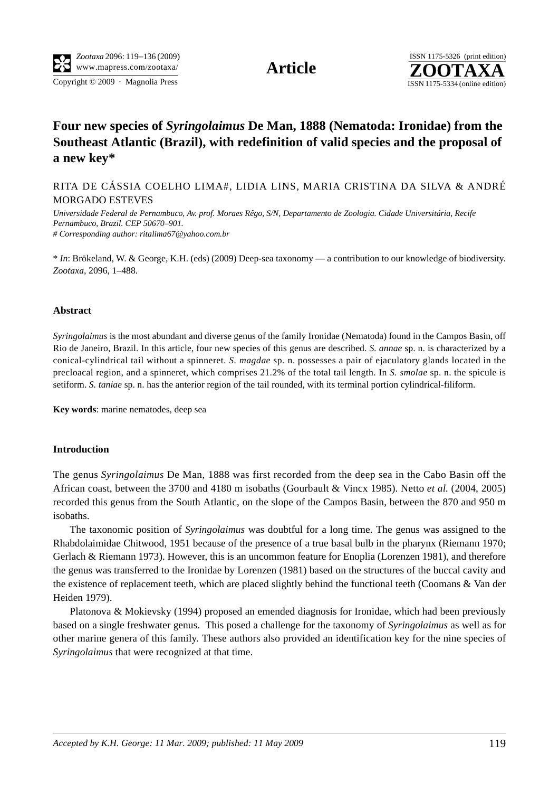Copyright © 2009 · Magnolia Press ISSN 1175-5334 (online edition)



# **Four new species of** *Syringolaimus* **De Man, 1888 (Nematoda: Ironidae) from the Southeast Atlantic (Brazil), with redefinition of valid species and the proposal of a new key\***

RITA DE CÁSSIA COELHO LIMA#, LIDIA LINS, MARIA CRISTINA DA SILVA & ANDRÉ MORGADO ESTEVES

*Universidade Federal de Pernambuco, Av. prof. Moraes Rêgo, S/N, Departamento de Zoologia. Cidade Universitária, Recife Pernambuco, Brazil. CEP 50670–901. # Corresponding author: [ritalima67@yahoo.com.br](mailto:ritalima67@yahoo.com.br)*

\* *In*: Brökeland, W. & George, K.H. (eds) (2009) Deep-sea taxonomy — a contribution to our knowledge of biodiversity. *Zootaxa*, 2096, 1–488.

#### **Abstract**

*Syringolaimus* is the most abundant and diverse genus of the family Ironidae (Nematoda) found in the Campos Basin, off Rio de Janeiro, Brazil. In this article, four new species of this genus are described. *S. annae* sp. n. is characterized by a conical-cylindrical tail without a spinneret. *S. magdae* sp. n. possesses a pair of ejaculatory glands located in the precloacal region, and a spinneret, which comprises 21.2% of the total tail length. In *S. smolae* sp. n. the spicule is setiform. *S. taniae* sp. n. has the anterior region of the tail rounded, with its terminal portion cylindrical-filiform.

**Key words**: marine nematodes, deep sea

### **Introduction**

The genus *Syringolaimus* De Man, 1888 was first recorded from the deep sea in the Cabo Basin off the African coast, between the 3700 and 4180 m isobaths (Gourbault & Vincx 1985). Netto *et al.* (2004, 2005) recorded this genus from the South Atlantic, on the slope of the Campos Basin, between the 870 and 950 m isobaths.

The taxonomic position of *Syringolaimus* was doubtful for a long time. The genus was assigned to the Rhabdolaimidae Chitwood, 1951 because of the presence of a true basal bulb in the pharynx (Riemann 1970; Gerlach & Riemann 1973). However, this is an uncommon feature for Enoplia (Lorenzen 1981), and therefore the genus was transferred to the Ironidae by Lorenzen (1981) based on the structures of the buccal cavity and the existence of replacement teeth, which are placed slightly behind the functional teeth (Coomans & Van der Heiden 1979).

Platonova & Mokievsky (1994) proposed an emended diagnosis for Ironidae, which had been previously based on a single freshwater genus. This posed a challenge for the taxonomy of *Syringolaimus* as well as for other marine genera of this family. These authors also provided an identification key for the nine species of *Syringolaimus* that were recognized at that time.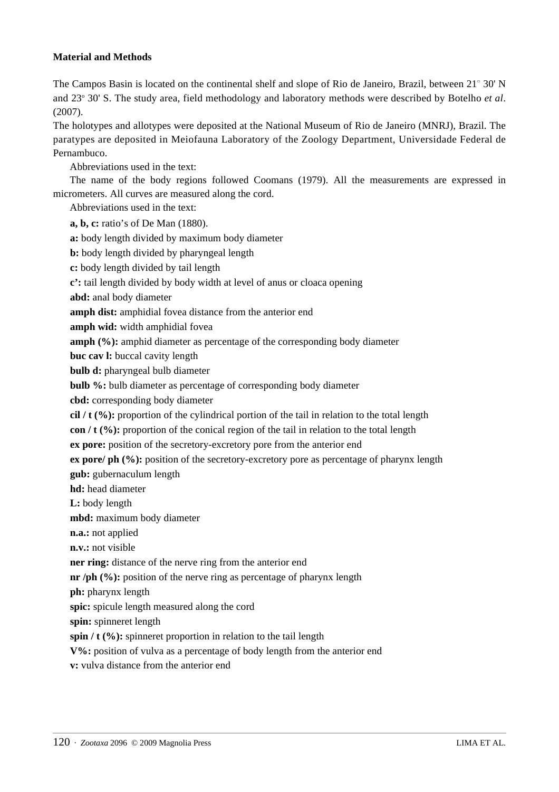# **Material and Methods**

The Campos Basin is located on the continental shelf and slope of Rio de Janeiro, Brazil, between 21° 30' N and 23° 30' S. The study area, field methodology and laboratory methods were described by Botelho et al. (2007).

The holotypes and allotypes were deposited at the National Museum of Rio de Janeiro (MNRJ), Brazil. The paratypes are deposited in Meiofauna Laboratory of the Zoology Department, Universidade Federal de Pernambuco.

Abbreviations used in the text:

The name of the body regions followed Coomans (1979). All the measurements are expressed in micrometers. All curves are measured along the cord.

Abbreviations used in the text:

**a, b, c:** ratio's of De Man (1880).

**a:** body length divided by maximum body diameter

**b:** body length divided by pharyngeal length

**c:** body length divided by tail length

**c':** tail length divided by body width at level of anus or cloaca opening

**abd:** anal body diameter

**amph dist:** amphidial fovea distance from the anterior end

**amph wid:** width amphidial fovea

**amph (%):** amphid diameter as percentage of the corresponding body diameter

**buc cav l:** buccal cavity length

**bulb d:** pharyngeal bulb diameter

**bulb %:** bulb diameter as percentage of corresponding body diameter

**cbd:** corresponding body diameter

**cil / t (%):** proportion of the cylindrical portion of the tail in relation to the total length

**con / t (%):** proportion of the conical region of the tail in relation to the total length

**ex pore:** position of the secretory-excretory pore from the anterior end

**ex pore/ ph (%):** position of the secretory-excretory pore as percentage of pharynx length

**gub:** gubernaculum length

**hd:** head diameter

**L:** body length

**mbd:** maximum body diameter

**n.a.:** not applied

**n.v.:** not visible

**ner ring:** distance of the nerve ring from the anterior end

**nr** /ph (%): position of the nerve ring as percentage of pharynx length

**ph:** pharynx length

**spic:** spicule length measured along the cord

**spin:** spinneret length

**spin / t (%):** spinneret proportion in relation to the tail length

**V%:** position of vulva as a percentage of body length from the anterior end

**v:** vulva distance from the anterior end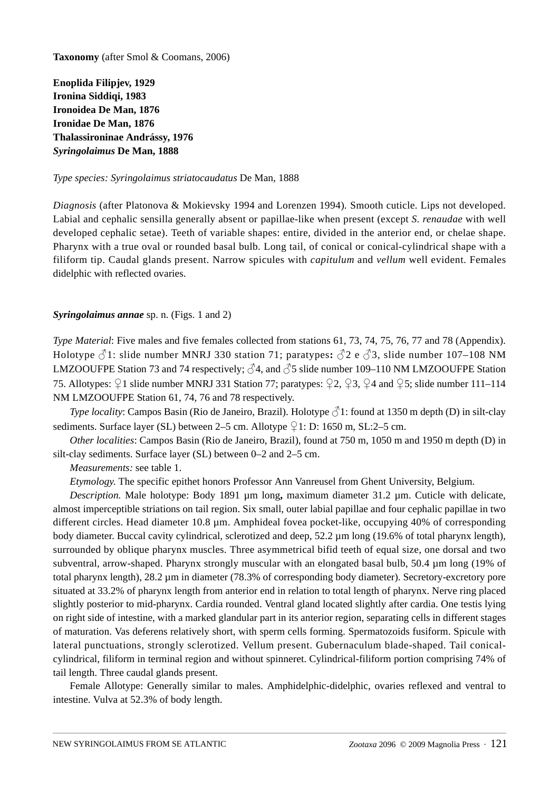**Taxonomy** (after Smol & Coomans, 2006)

**Enoplida Filipjev, 1929 Ironina Siddiqi, 1983 Ironoidea De Man, 1876 Ironidae De Man, 1876 Thalassironinae Andrássy, 1976** *Syringolaimus* **De Man, 1888**

### *Type species: Syringolaimus striatocaudatus* De Man, 1888

*Diagnosis* (after Platonova & Mokievsky 1994 and Lorenzen 1994)*.* Smooth cuticle. Lips not developed. Labial and cephalic sensilla generally absent or papillae-like when present (except *S. renaudae* with well developed cephalic setae). Teeth of variable shapes: entire, divided in the anterior end, or chelae shape. Pharynx with a true oval or rounded basal bulb. Long tail, of conical or conical-cylindrical shape with a filiform tip. Caudal glands present. Narrow spicules with *capitulum* and *vellum* well evident. Females didelphic with reflected ovaries.

# *Syringolaimus annae* sp. n. (Figs. 1 and 2)

*Type Material*: Five males and five females collected from stations 61, 73, 74, 75, 76, 77 and 78 (Appendix). Holotype ♂1: slide number MNRJ 330 station 71; paratypes**:** ♂2 e ♂3, slide number 107–108 NM LMZOOUFPE Station 73 and 74 respectively;  $\sqrt{34}$ , and  $\sqrt{35}$  slide number 109–110 NM LMZOOUFPE Station 75. Allotypes: ♀1 slide number MNRJ 331 Station 77; paratypes: ♀2, ♀3, ♀4 and ♀5; slide number 111–114 NM LMZOOUFPE Station 61, 74, 76 and 78 respectively.

*Type locality*: Campos Basin (Rio de Janeiro, Brazil). Holotype  $\hat{\triangle}$  1: found at 1350 m depth (D) in silt-clay sediments. Surface layer (SL) between 2–5 cm. Allotype  $\sqrt{21}$ : D: 1650 m, SL: 2–5 cm.

*Other localities*: Campos Basin (Rio de Janeiro, Brazil), found at 750 m, 1050 m and 1950 m depth (D) in silt-clay sediments. Surface layer (SL) between 0–2 and 2–5 cm.

*Measurements:* see table 1.

*Etymology*. The specific epithet honors Professor Ann Vanreusel from Ghent University, Belgium.

*Description.* Male holotype: Body 1891 µm long**,** maximum diameter 31.2 µm. Cuticle with delicate, almost imperceptible striations on tail region. Six small, outer labial papillae and four cephalic papillae in two different circles. Head diameter 10.8 µm. Amphideal fovea pocket-like, occupying 40% of corresponding body diameter. Buccal cavity cylindrical, sclerotized and deep, 52.2 µm long (19.6% of total pharynx length), surrounded by oblique pharynx muscles. Three asymmetrical bifid teeth of equal size, one dorsal and two subventral, arrow-shaped. Pharynx strongly muscular with an elongated basal bulb, 50.4 µm long (19% of total pharynx length), 28.2 µm in diameter (78.3% of corresponding body diameter). Secretory-excretory pore situated at 33.2% of pharynx length from anterior end in relation to total length of pharynx. Nerve ring placed slightly posterior to mid-pharynx. Cardia rounded. Ventral gland located slightly after cardia. One testis lying on right side of intestine, with a marked glandular part in its anterior region, separating cells in different stages of maturation. Vas deferens relatively short, with sperm cells forming. Spermatozoids fusiform. Spicule with lateral punctuations, strongly sclerotized. Vellum present. Gubernaculum blade-shaped. Tail conicalcylindrical, filiform in terminal region and without spinneret. Cylindrical-filiform portion comprising 74% of tail length. Three caudal glands present.

Female Allotype: Generally similar to males. Amphidelphic-didelphic, ovaries reflexed and ventral to intestine. Vulva at 52.3% of body length.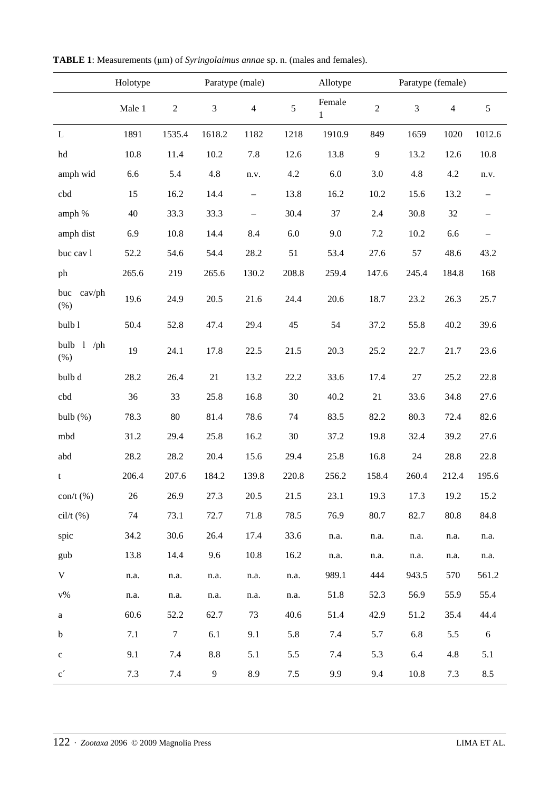| TABLE 1: Measurements (µm) of Syringolaimus annae sp. n. (males and females). |  |  |  |
|-------------------------------------------------------------------------------|--|--|--|
|-------------------------------------------------------------------------------|--|--|--|

|                         | Holotype | Paratype (male) |                |                   | Allotype   |                        |                | Paratype (female) |                |                          |
|-------------------------|----------|-----------------|----------------|-------------------|------------|------------------------|----------------|-------------------|----------------|--------------------------|
|                         | Male 1   | $\sqrt{2}$      | $\mathfrak{Z}$ | $\overline{4}$    | $\sqrt{5}$ | Female<br>$\mathbf{1}$ | $\sqrt{2}$     | 3                 | $\overline{4}$ | $\mathfrak{S}$           |
| $\mathbf L$             | 1891     | 1535.4          | 1618.2         | 1182              | 1218       | 1910.9                 | 849            | 1659              | 1020           | 1012.6                   |
| hd                      | 10.8     | 11.4            | 10.2           | 7.8               | 12.6       | 13.8                   | $\overline{9}$ | 13.2              | 12.6           | 10.8                     |
| amph wid                | 6.6      | 5.4             | 4.8            | n.v.              | 4.2        | 6.0                    | 3.0            | 4.8               | 4.2            | n.v.                     |
| cbd                     | 15       | 16.2            | 14.4           | $\qquad \qquad -$ | 13.8       | 16.2                   | 10.2           | 15.6              | 13.2           | $\overline{\phantom{0}}$ |
| amph %                  | 40       | 33.3            | 33.3           | $\qquad \qquad -$ | 30.4       | 37                     | 2.4            | 30.8              | 32             | $\qquad \qquad -$        |
| amph dist               | 6.9      | 10.8            | 14.4           | 8.4               | 6.0        | 9.0                    | 7.2            | 10.2              | 6.6            | $\qquad \qquad -$        |
| buc cav l               | 52.2     | 54.6            | 54.4           | 28.2              | 51         | 53.4                   | 27.6           | 57                | 48.6           | 43.2                     |
| ph                      | 265.6    | 219             | 265.6          | 130.2             | 208.8      | 259.4                  | 147.6          | 245.4             | 184.8          | 168                      |
| buc<br>cav/ph<br>(%)    | 19.6     | 24.9            | 20.5           | 21.6              | 24.4       | 20.6                   | 18.7           | 23.2              | 26.3           | 25.7                     |
| bulb 1                  | 50.4     | 52.8            | 47.4           | 29.4              | 45         | 54                     | 37.2           | 55.8              | 40.2           | 39.6                     |
| bulb $1$ /ph<br>(% )    | 19       | 24.1            | 17.8           | 22.5              | 21.5       | 20.3                   | 25.2           | 22.7              | 21.7           | 23.6                     |
| bulb d                  | 28.2     | 26.4            | 21             | 13.2              | 22.2       | 33.6                   | 17.4           | $27\,$            | 25.2           | 22.8                     |
| cbd                     | 36       | 33              | 25.8           | 16.8              | 30         | 40.2                   | 21             | 33.6              | 34.8           | 27.6                     |
| bulb $(\%)$             | 78.3     | 80              | 81.4           | 78.6              | 74         | 83.5                   | 82.2           | 80.3              | 72.4           | 82.6                     |
| mbd                     | 31.2     | 29.4            | 25.8           | 16.2              | 30         | 37.2                   | 19.8           | 32.4              | 39.2           | 27.6                     |
| abd                     | 28.2     | 28.2            | 20.4           | 15.6              | 29.4       | 25.8                   | 16.8           | 24                | 28.8           | 22.8                     |
| t                       | 206.4    | 207.6           | 184.2          | 139.8             | 220.8      | 256.2                  | 158.4          | 260.4             | 212.4          | 195.6                    |
| $\text{con/t}$ (%)      | 26       | 26.9            | 27.3           | 20.5              | 21.5       | 23.1                   | 19.3           | 17.3              | 19.2           | 15.2                     |
| $\text{cil/t}$ $(\%)$   | 74       | 73.1            | 72.7           | 71.8              | 78.5       | 76.9                   | 80.7           | 82.7              | 80.8           | 84.8                     |
| spic                    | 34.2     | 30.6            | 26.4           | 17.4              | 33.6       | n.a.                   | n.a.           | n.a.              | n.a.           | n.a.                     |
| gub                     | 13.8     | 14.4            | 9.6            | 10.8              | 16.2       | n.a.                   | n.a.           | n.a.              | n.a.           | n.a.                     |
| $\mathbf V$             | n.a.     | n.a.            | n.a.           | n.a.              | n.a.       | 989.1                  | 444            | 943.5             | 570            | 561.2                    |
| ${\rm v}\%$             | n.a.     | n.a.            | n.a.           | n.a.              | n.a.       | 51.8                   | 52.3           | 56.9              | 55.9           | 55.4                     |
| a                       | 60.6     | 52.2            | 62.7           | 73                | 40.6       | 51.4                   | 42.9           | 51.2              | 35.4           | 44.4                     |
| $\mathbf b$             | 7.1      | $\tau$          | 6.1            | 9.1               | 5.8        | 7.4                    | 5.7            | 6.8               | 5.5            | 6                        |
| $\mathbf{C}$            | 9.1      | 7.4             | 8.8            | 5.1               | 5.5        | 7.4                    | 5.3            | 6.4               | 4.8            | $5.1\,$                  |
| $\mathbf{c}^{\,\prime}$ | 7.3      | 7.4             | 9              | 8.9               | 7.5        | 9.9                    | 9.4            | 10.8              | 7.3            | 8.5                      |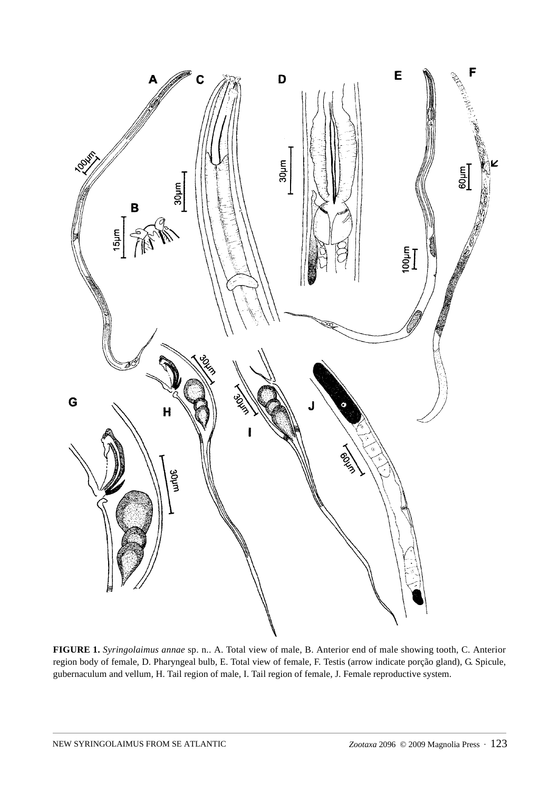

**FIGURE 1.** *Syringolaimus annae* sp. n.. A. Total view of male, B. Anterior end of male showing tooth, C. Anterior region body of female, D. Pharyngeal bulb, E. Total view of female, F. Testis (arrow indicate porção gland), G. Spicule, gubernaculum and vellum, H. Tail region of male, I. Tail region of female, J. Female reproductive system.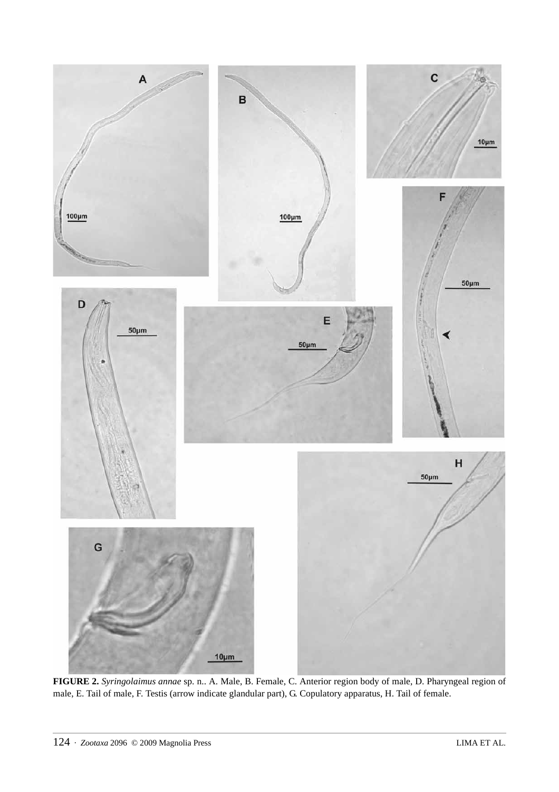

**FIGURE 2.** *Syringolaimus annae* sp. n.. A. Male, B. Female, C. Anterior region body of male, D. Pharyngeal region of male, E. Tail of male, F. Testis (arrow indicate glandular part), G. Copulatory apparatus, H. Tail of female.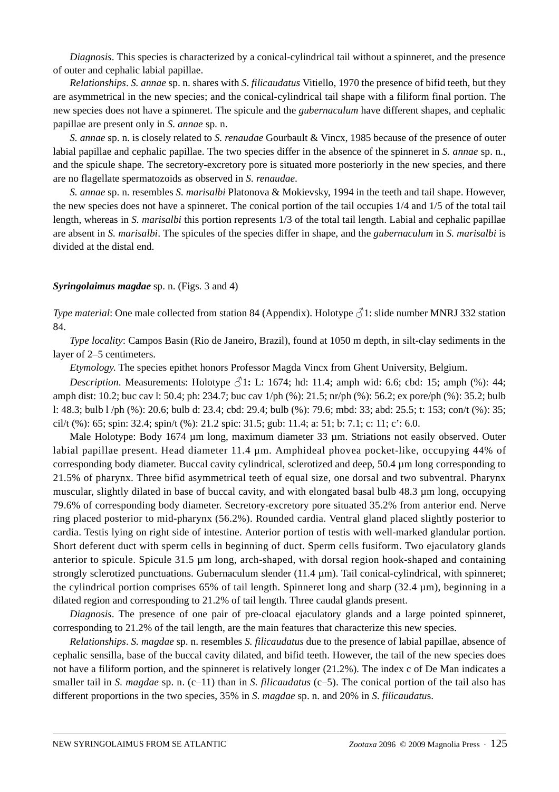*Diagnosis*. This species is characterized by a conical-cylindrical tail without a spinneret, and the presence of outer and cephalic labial papillae.

*Relationships*. *S. annae* sp. n. shares with *S*. *filicaudatus* Vitiello, 1970 the presence of bifid teeth, but they are asymmetrical in the new species; and the conical-cylindrical tail shape with a filiform final portion. The new species does not have a spinneret. The spicule and the *gubernaculum* have different shapes, and cephalic papillae are present only in *S. annae* sp. n.

*S. annae* sp. n. is closely related to *S. renaudae* Gourbault & Vincx, 1985 because of the presence of outer labial papillae and cephalic papillae. The two species differ in the absence of the spinneret in *S. annae* sp. n.*,* and the spicule shape. The secretory-excretory pore is situated more posteriorly in the new species, and there are no flagellate spermatozoids as observed in *S. renaudae*.

*S. annae* sp. n. resembles *S. marisalbi* Platonova & Mokievsky, 1994 in the teeth and tail shape. However, the new species does not have a spinneret. The conical portion of the tail occupies 1/4 and 1/5 of the total tail length, whereas in *S. marisalbi* this portion represents 1/3 of the total tail length. Labial and cephalic papillae are absent in *S. marisalbi*. The spicules of the species differ in shape, and the *gubernaculum* in *S. marisalbi* is divided at the distal end.

### *Syringolaimus magdae* sp. n. (Figs. 3 and 4)

*Type material:* One male collected from station 84 (Appendix). Holotype  $\partial^2$ 1: slide number MNRJ 332 station 84.

*Type locality*: Campos Basin (Rio de Janeiro, Brazil), found at 1050 m depth, in silt-clay sediments in the layer of 2–5 centimeters.

*Etymology*. The species epithet honors Professor Magda Vincx from Ghent University, Belgium.

*Description*. Measurements: Holotype  $\beta$ 1: L: 1674; hd: 11.4; amph wid: 6.6; cbd: 15; amph (%): 44; amph dist: 10.2; buc cav l: 50.4; ph: 234.7; buc cav 1/ph (%): 21.5; nr/ph (%): 56.2; ex pore/ph (%): 35.2; bulb l: 48.3; bulb l /ph (%): 20.6; bulb d: 23.4; cbd: 29.4; bulb (%): 79.6; mbd: 33; abd: 25.5; t: 153; con/t (%): 35; cil/t (%): 65; spin: 32.4; spin/t (%): 21.2 spic: 31.5; gub: 11.4; a: 51; b: 7.1; c: 11; c': 6.0.

Male Holotype: Body 1674 µm long, maximum diameter 33 µm. Striations not easily observed. Outer labial papillae present. Head diameter 11.4 µm. Amphideal phovea pocket-like, occupying 44% of corresponding body diameter. Buccal cavity cylindrical, sclerotized and deep, 50.4 µm long corresponding to 21.5% of pharynx. Three bifid asymmetrical teeth of equal size, one dorsal and two subventral. Pharynx muscular, slightly dilated in base of buccal cavity, and with elongated basal bulb 48.3 µm long, occupying 79.6% of corresponding body diameter. Secretory-excretory pore situated 35.2% from anterior end. Nerve ring placed posterior to mid-pharynx (56.2%). Rounded cardia. Ventral gland placed slightly posterior to cardia. Testis lying on right side of intestine. Anterior portion of testis with well-marked glandular portion. Short deferent duct with sperm cells in beginning of duct. Sperm cells fusiform. Two ejaculatory glands anterior to spicule. Spicule 31.5 µm long, arch-shaped, with dorsal region hook-shaped and containing strongly sclerotized punctuations. Gubernaculum slender (11.4 µm). Tail conical-cylindrical, with spinneret; the cylindrical portion comprises 65% of tail length. Spinneret long and sharp (32.4  $\mu$ m), beginning in a dilated region and corresponding to 21.2% of tail length. Three caudal glands present.

*Diagnosis*. The presence of one pair of pre-cloacal ejaculatory glands and a large pointed spinneret, corresponding to 21.2% of the tail length, are the main features that characterize this new species.

*Relationships*. *S. magdae* sp. n. resembles *S. filicaudatus* due to the presence of labial papillae, absence of cephalic sensilla, base of the buccal cavity dilated, and bifid teeth. However, the tail of the new species does not have a filiform portion, and the spinneret is relatively longer (21.2%). The index c of De Man indicates a smaller tail in *S. magdae* sp. n. (c–11) than in *S. filicaudatus* (c–5). The conical portion of the tail also has different proportions in the two species, 35% in *S. magdae* sp. n. and 20% in *S. filicaudatu*s.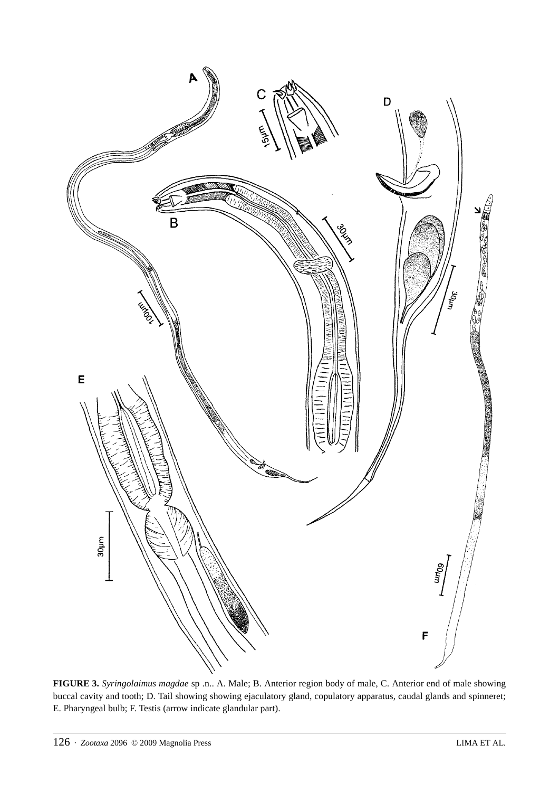

**FIGURE 3.** *Syringolaimus magdae* sp .n.. A. Male; B. Anterior region body of male, C. Anterior end of male showing buccal cavity and tooth; D. Tail showing showing ejaculatory gland, copulatory apparatus, caudal glands and spinneret; E. Pharyngeal bulb; F. Testis (arrow indicate glandular part).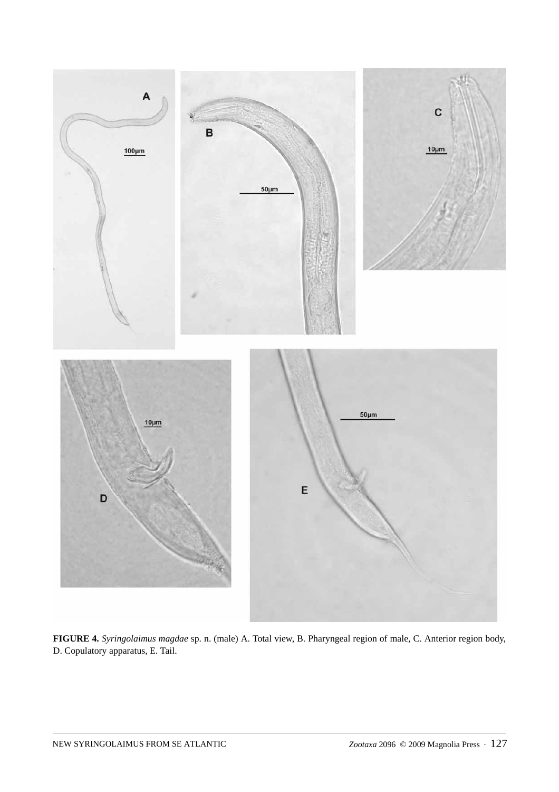

**FIGURE 4.** *Syringolaimus magdae* sp. n. (male) A. Total view, B. Pharyngeal region of male, C. Anterior region body, D. Copulatory apparatus, E. Tail.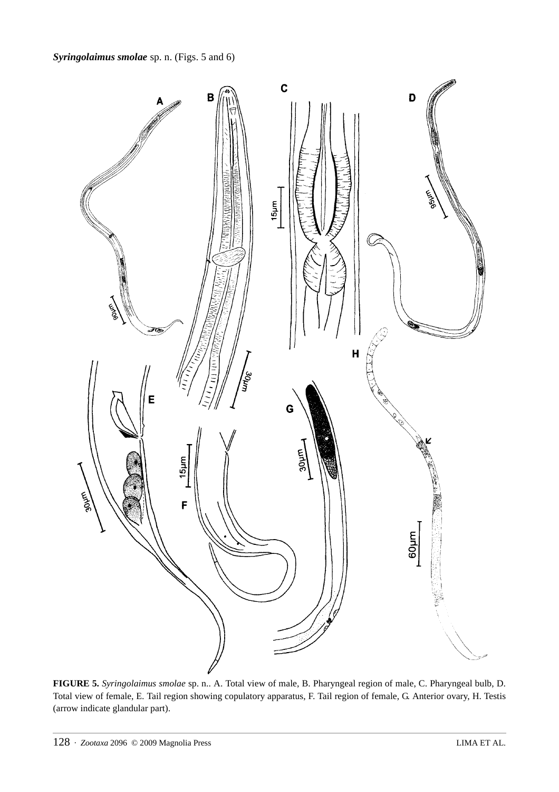

**FIGURE 5.** *Syringolaimus smolae* sp. n.. A. Total view of male, B. Pharyngeal region of male, C. Pharyngeal bulb, D. Total view of female, E. Tail region showing copulatory apparatus, F. Tail region of female, G. Anterior ovary, H. Testis (arrow indicate glandular part).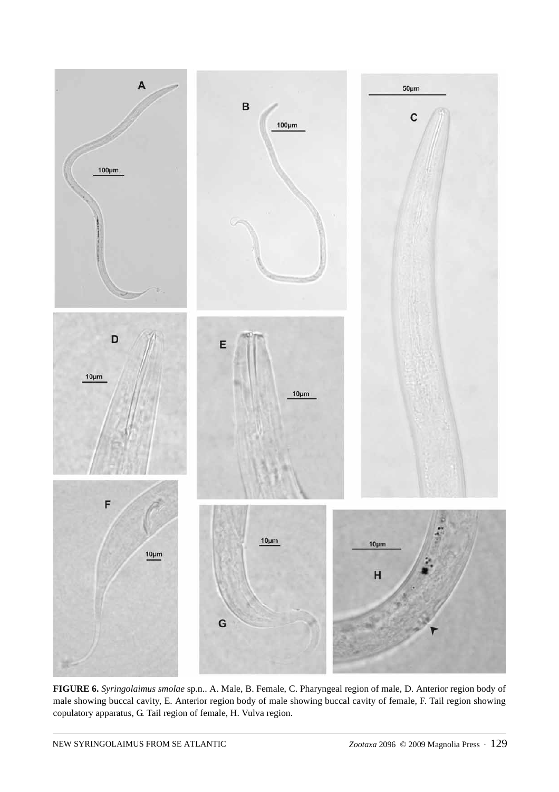

**FIGURE 6.** *Syringolaimus smolae* sp.n.. A. Male, B. Female, C. Pharyngeal region of male, D. Anterior region body of male showing buccal cavity, E. Anterior region body of male showing buccal cavity of female, F. Tail region showing copulatory apparatus, G. Tail region of female, H. Vulva region.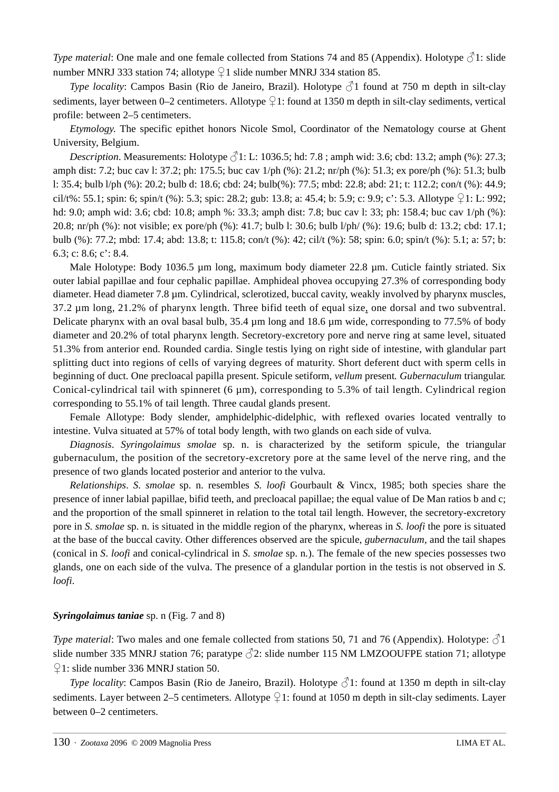*Type material:* One male and one female collected from Stations 74 and 85 (Appendix). Holotype  $\partial \Omega$ : slide number MNRJ 333 station 74; allotype  $\frac{1}{2}1$  slide number MNRJ 334 station 85.

*Type locality*: Campos Basin (Rio de Janeiro, Brazil). Holotype  $\partial$ 1 found at 750 m depth in silt-clay sediments, layer between 0–2 centimeters. Allotype  $\frac{1}{2}$ 1: found at 1350 m depth in silt-clay sediments, vertical profile: between 2–5 centimeters.

*Etymology*. The specific epithet honors Nicole Smol, Coordinator of the Nematology course at Ghent University, Belgium.

*Description*. Measurements: Holotype  $\sqrt{31}$ : L: 1036.5; hd: 7.8; amph wid: 3.6; cbd: 13.2; amph (%): 27.3; amph dist: 7.2; buc cav l: 37.2; ph: 175.5; buc cav 1/ph (%): 21.2; nr/ph (%): 51.3; ex pore/ph (%): 51.3; bulb l: 35.4; bulb l/ph (%): 20.2; bulb d: 18.6; cbd: 24; bulb(%): 77.5; mbd: 22.8; abd: 21; t: 112.2; con/t (%): 44.9; cil/t%: 55.1; spin: 6; spin/t (%): 5.3; spic: 28.2; gub: 13.8; a: 45.4; b: 5.9; c: 9.9; c': 5.3. Allotype  $\frac{1}{2}1$ : L: 992; hd: 9.0; amph wid: 3.6; cbd: 10.8; amph %: 33.3; amph dist: 7.8; buc cav l: 33; ph: 158.4; buc cav 1/ph (%): 20.8; nr/ph (%): not visible; ex pore/ph (%): 41.7; bulb l: 30.6; bulb l/ph/ (%): 19.6; bulb d: 13.2; cbd: 17.1; bulb (%): 77.2; mbd: 17.4; abd: 13.8; t: 115.8; con/t (%): 42; cil/t (%): 58; spin: 6.0; spin/t (%): 5.1; a: 57; b: 6.3; c: 8.6; c': 8.4.

Male Holotype: Body 1036.5 µm long, maximum body diameter 22.8 µm. Cuticle faintly striated. Six outer labial papillae and four cephalic papillae. Amphideal phovea occupying 27.3% of corresponding body diameter. Head diameter 7.8 µm. Cylindrical, sclerotized, buccal cavity, weakly involved by pharynx muscles, 37.2 µm long, 21.2% of pharynx length. Three bifid teeth of equal size, one dorsal and two subventral. Delicate pharynx with an oval basal bulb, 35.4 µm long and 18.6 µm wide, corresponding to 77.5% of body diameter and 20.2% of total pharynx length. Secretory-excretory pore and nerve ring at same level, situated 51.3% from anterior end. Rounded cardia. Single testis lying on right side of intestine, with glandular part splitting duct into regions of cells of varying degrees of maturity. Short deferent duct with sperm cells in beginning of duct. One precloacal papilla present. Spicule setiform, *vellum* present*. Gubernaculum* triangular*.*  Conical-cylindrical tail with spinneret  $(6 \mu m)$ , corresponding to 5.3% of tail length. Cylindrical region corresponding to 55.1% of tail length. Three caudal glands present.

Female Allotype: Body slender, amphidelphic-didelphic, with reflexed ovaries located ventrally to intestine. Vulva situated at 57% of total body length, with two glands on each side of vulva.

*Diagnosis*. *Syringolaimus smolae* sp. n. is characterized by the setiform spicule, the triangular gubernaculum, the position of the secretory-excretory pore at the same level of the nerve ring, and the presence of two glands located posterior and anterior to the vulva.

*Relationships*. *S. smolae* sp. n. resembles *S. loofi* Gourbault & Vincx, 1985; both species share the presence of inner labial papillae, bifid teeth, and precloacal papillae; the equal value of De Man ratios b and c; and the proportion of the small spinneret in relation to the total tail length. However, the secretory-excretory pore in *S. smolae* sp. n. is situated in the middle region of the pharynx, whereas in *S. loofi* the pore is situated at the base of the buccal cavity. Other differences observed are the spicule, *gubernaculum*, and the tail shapes (conical in *S*. *loofi* and conical-cylindrical in *S. smolae* sp. n*.*). The female of the new species possesses two glands, one on each side of the vulva. The presence of a glandular portion in the testis is not observed in *S. loofi*.

# *Syringolaimus taniae* sp. n (Fig. 7 and 8)

*Type material*: Two males and one female collected from stations 50, 71 and 76 (Appendix). Holotype:  $\sqrt{3}1$ slide number 335 MNRJ station 76; paratype  $\sqrt{2}$ : slide number 115 NM LMZOOUFPE station 71; allotype ♀1: slide number 336 MNRJ station 50.

*Type locality*: Campos Basin (Rio de Janeiro, Brazil). Holotype  $\sqrt{21}$ : found at 1350 m depth in silt-clay sediments. Layer between 2–5 centimeters. Allotype  $\frac{1}{2}$ 1: found at 1050 m depth in silt-clay sediments. Layer between 0–2 centimeters.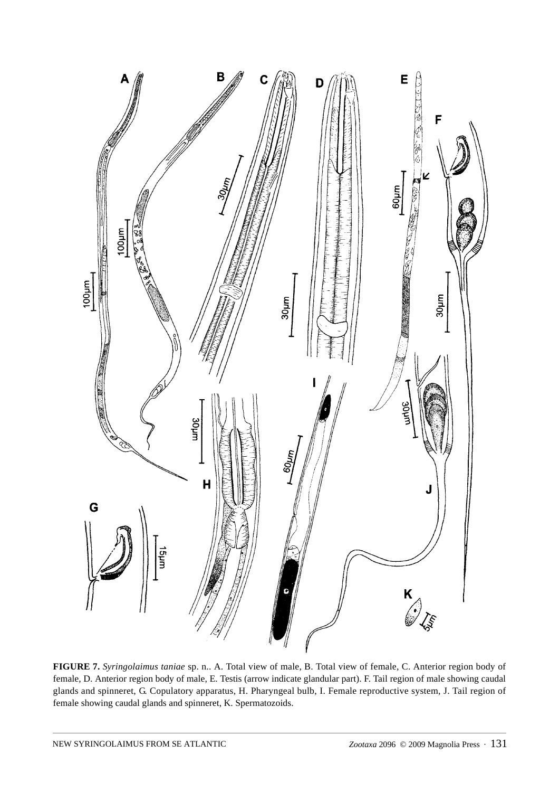

**FIGURE 7.** *Syringolaimus taniae* sp. n.. A. Total view of male, B. Total view of female, C. Anterior region body of female, D. Anterior region body of male, E. Testis (arrow indicate glandular part). F. Tail region of male showing caudal glands and spinneret, G. Copulatory apparatus, H. Pharyngeal bulb, I. Female reproductive system, J. Tail region of female showing caudal glands and spinneret, K. Spermatozoids.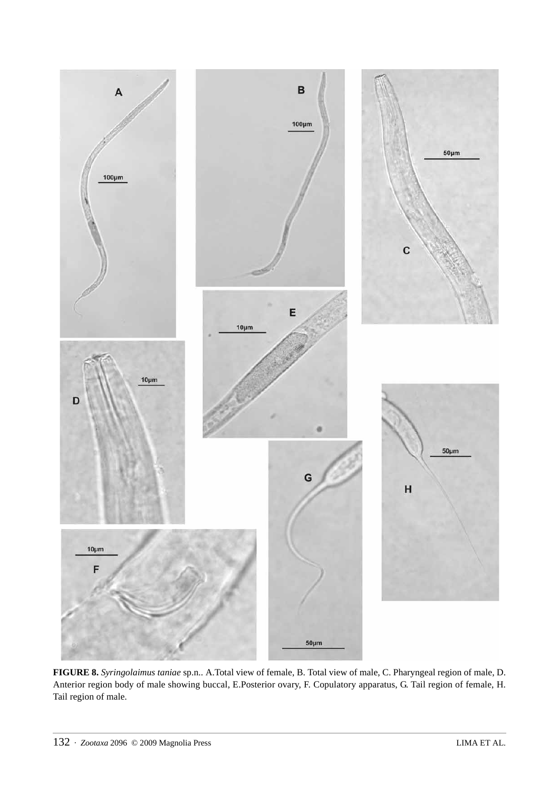

**FIGURE 8.** *Syringolaimus taniae* sp.n.. A.Total view of female, B. Total view of male, C. Pharyngeal region of male, D. Anterior region body of male showing buccal, E.Posterior ovary, F. Copulatory apparatus, G. Tail region of female, H. Tail region of male.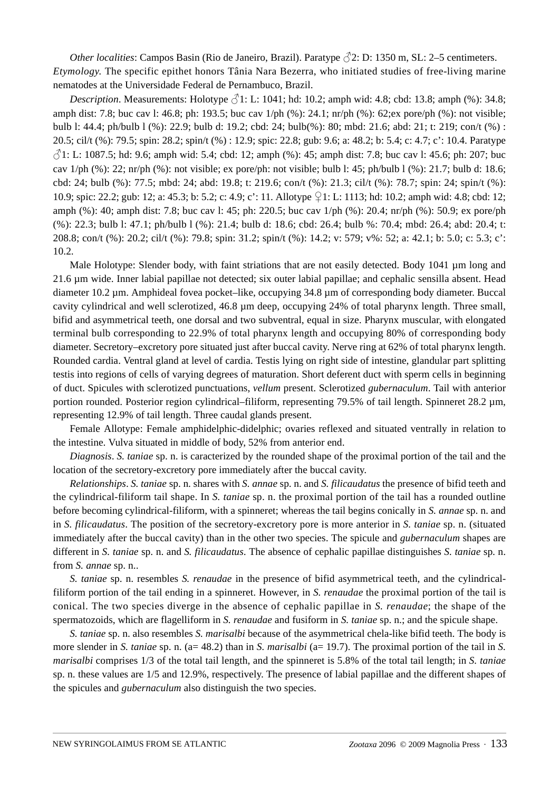*Other localities*: Campos Basin (Rio de Janeiro, Brazil). Paratype  $\sqrt{2}$ : D: 1350 m, SL: 2–5 centimeters. *Etymology*. The specific epithet honors Tânia Nara Bezerra, who initiated studies of free-living marine nematodes at the Universidade Federal de Pernambuco, Brazil.

*Description*. Measurements: Holotype  $\sqrt{31}$ : L: 1041; hd: 10.2; amph wid: 4.8; cbd: 13.8; amph (%): 34.8; amph dist: 7.8; buc cav l: 46.8; ph: 193.5; buc cav 1/ph (%): 24.1; nr/ph (%): 62;ex pore/ph (%): not visible; bulb l: 44.4; ph/bulb l (%): 22.9; bulb d: 19.2; cbd: 24; bulb(%): 80; mbd: 21.6; abd: 21; t: 219; con/t (%) : 20.5; cil/t (%): 79.5; spin: 28.2; spin/t (%) : 12.9; spic: 22.8; gub: 9.6; a: 48.2; b: 5.4; c: 4.7; c': 10.4. Paratype  $\sqrt[3]{}$ 1: L: 1087.5; hd: 9.6; amph wid: 5.4; cbd: 12; amph (%): 45; amph dist: 7.8; buc cav l: 45.6; ph: 207; buc cav  $1/\text{ph}$  (%): 22; nr/ph (%): not visible; ex pore/ph: not visible; bulb l: 45; ph/bulb l (%): 21.7; bulb d: 18.6; cbd: 24; bulb (%): 77.5; mbd: 24; abd: 19.8; t: 219.6; con/t (%): 21.3; cil/t (%): 78.7; spin: 24; spin/t (%): 10.9; spic: 22.2; gub: 12; a: 45.3; b: 5.2; c: 4.9; c': 11. Allotype ♀1: L: 1113; hd: 10.2; amph wid: 4.8; cbd: 12; amph (%): 40; amph dist: 7.8; buc cav l: 45; ph: 220.5; buc cav 1/ph (%): 20.4; nr/ph (%): 50.9; ex pore/ph (%): 22.3; bulb l: 47.1; ph/bulb l (%): 21.4; bulb d: 18.6; cbd: 26.4; bulb %: 70.4; mbd: 26.4; abd: 20.4; t: 208.8; con/t (%): 20.2; cil/t (%): 79.8; spin: 31.2; spin/t (%): 14.2; v: 579; v%: 52; a: 42.1; b: 5.0; c: 5.3; c': 10.2.

Male Holotype: Slender body, with faint striations that are not easily detected. Body 1041 µm long and 21.6 µm wide. Inner labial papillae not detected; six outer labial papillae; and cephalic sensilla absent. Head diameter 10.2 µm. Amphideal fovea pocket–like, occupying 34.8 µm of corresponding body diameter. Buccal cavity cylindrical and well sclerotized, 46.8 µm deep, occupying 24% of total pharynx length. Three small, bifid and asymmetrical teeth, one dorsal and two subventral, equal in size. Pharynx muscular, with elongated terminal bulb corresponding to 22.9% of total pharynx length and occupying 80% of corresponding body diameter. Secretory–excretory pore situated just after buccal cavity. Nerve ring at 62% of total pharynx length. Rounded cardia. Ventral gland at level of cardia. Testis lying on right side of intestine, glandular part splitting testis into regions of cells of varying degrees of maturation. Short deferent duct with sperm cells in beginning of duct. Spicules with sclerotized punctuations, *vellum* present. Sclerotized *gubernaculum*. Tail with anterior portion rounded. Posterior region cylindrical–filiform, representing 79.5% of tail length. Spinneret 28.2 µm, representing 12.9% of tail length. Three caudal glands present.

Female Allotype: Female amphidelphic-didelphic; ovaries reflexed and situated ventrally in relation to the intestine. Vulva situated in middle of body, 52% from anterior end.

*Diagnosis*. *S. taniae* sp. n. is caracterized by the rounded shape of the proximal portion of the tail and the location of the secretory-excretory pore immediately after the buccal cavity.

*Relationships*. *S. taniae* sp. n. shares with *S. annae* sp. n. and *S. filicaudatus* the presence of bifid teeth and the cylindrical-filiform tail shape. In *S. taniae* sp. n. the proximal portion of the tail has a rounded outline before becoming cylindrical-filiform, with a spinneret; whereas the tail begins conically in *S. annae* sp. n. and in *S. filicaudatus*. The position of the secretory-excretory pore is more anterior in *S. taniae* sp. n. (situated immediately after the buccal cavity) than in the other two species. The spicule and *gubernaculum* shapes are different in *S. taniae* sp. n. and *S. filicaudatus*. The absence of cephalic papillae distinguishes *S. taniae* sp. n. from *S. annae* sp. n..

*S. taniae* sp. n. resembles *S. renaudae* in the presence of bifid asymmetrical teeth, and the cylindricalfiliform portion of the tail ending in a spinneret. However, in *S. renaudae* the proximal portion of the tail is conical. The two species diverge in the absence of cephalic papillae in *S. renaudae*; the shape of the spermatozoids, which are flagelliform in *S. renaudae* and fusiform in *S. taniae* sp. n.; and the spicule shape.

*S. taniae* sp. n. also resembles *S. marisalbi* because of the asymmetrical chela-like bifid teeth. The body is more slender in *S. taniae* sp. n. (a= 48.2) than in *S. marisalbi* (a= 19.7). The proximal portion of the tail in *S. marisalbi* comprises 1/3 of the total tail length, and the spinneret is 5.8% of the total tail length; in *S. taniae* sp. n. these values are 1/5 and 12.9%, respectively. The presence of labial papillae and the different shapes of the spicules and *gubernaculum* also distinguish the two species.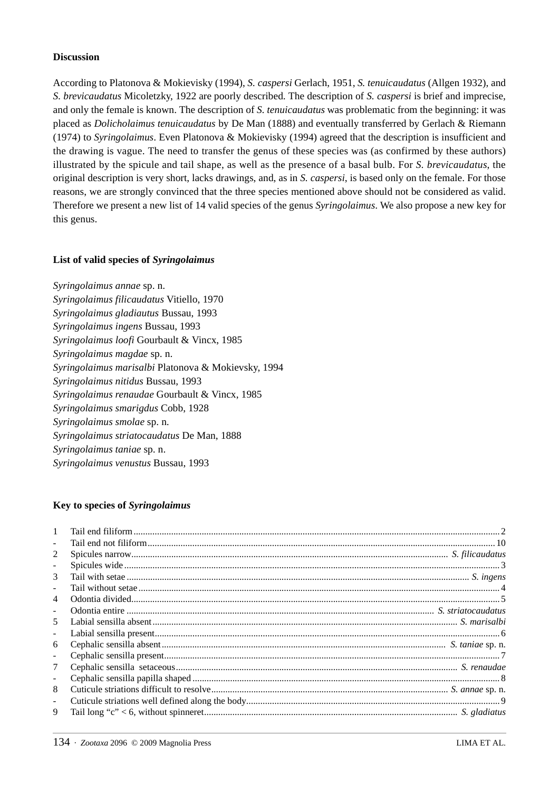### **Discussion**

According to Platonova & Mokievisky (1994), *S. caspersi* Gerlach, 1951, *S. tenuicaudatus* (Allgen 1932), and *S. brevicaudatus* Micoletzky, 1922 are poorly described. The description of *S. caspersi* is brief and imprecise, and only the female is known. The description of *S. tenuicaudatus* was problematic from the beginning: it was placed as *Dolicholaimus tenuicaudatus* by De Man (1888) and eventually transferred by Gerlach & Riemann (1974) to *Syringolaimus*. Even Platonova & Mokievisky (1994) agreed that the description is insufficient and the drawing is vague. The need to transfer the genus of these species was (as confirmed by these authors) illustrated by the spicule and tail shape, as well as the presence of a basal bulb. For *S. brevicaudatus*, the original description is very short, lacks drawings, and, as in *S. caspersi*, is based only on the female. For those reasons, we are strongly convinced that the three species mentioned above should not be considered as valid. Therefore we present a new list of 14 valid species of the genus *Syringolaimus*. We also propose a new key for this genus.

# **List of valid species of** *Syringolaimus*

*Syringolaimus annae* sp. n. *Syringolaimus filicaudatus* Vitiello, 1970 *Syringolaimus gladiautus* Bussau, 1993 *Syringolaimus ingens* Bussau, 1993 *Syringolaimus loofi* Gourbault & Vincx, 1985 *Syringolaimus magdae* sp. n. *Syringolaimus marisalbi* Platonova & Mokievsky, 1994 *Syringolaimus nitidus* Bussau, 1993 *Syringolaimus renaudae* Gourbault & Vincx, 1985 *Syringolaimus smarigdus* Cobb, 1928 *Syringolaimus smolae* sp. n. *Syringolaimus striatocaudatus* De Man, 1888 *Syringolaimus taniae* sp. n. *Syringolaimus venustus* Bussau, 1993

# **Key to species of** *Syringolaimus*

| $\mathbf{1}$             |  |
|--------------------------|--|
| ÷.                       |  |
| 2                        |  |
| $\overline{\phantom{0}}$ |  |
| 3                        |  |
| $\blacksquare$           |  |
| 4                        |  |
| $\blacksquare$           |  |
| 5                        |  |
| $\overline{\phantom{a}}$ |  |
| 6                        |  |
| $\overline{\phantom{a}}$ |  |
| 7                        |  |
| $\overline{\phantom{a}}$ |  |
| 8                        |  |
| ÷.                       |  |
| 9                        |  |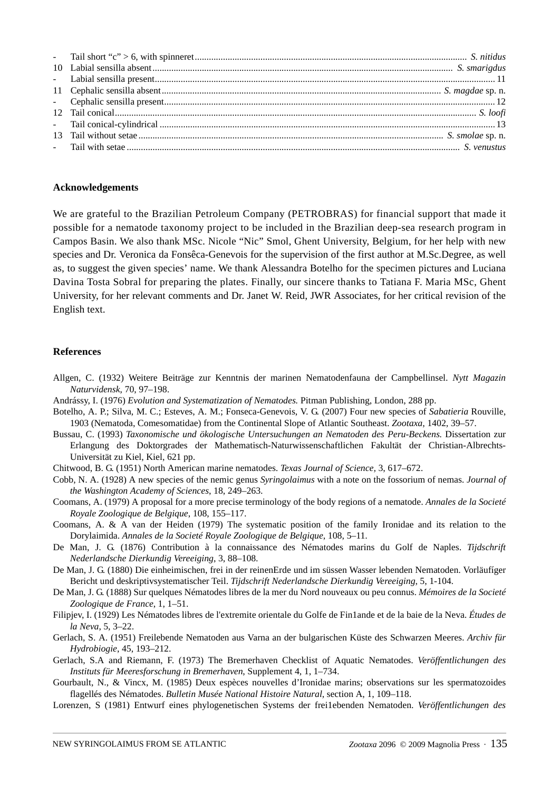### **Acknowledgements**

We are grateful to the Brazilian Petroleum Company (PETROBRAS) for financial support that made it possible for a nematode taxonomy project to be included in the Brazilian deep-sea research program in Campos Basin. We also thank MSc. Nicole "Nic" Smol, Ghent University, Belgium, for her help with new species and Dr. Veronica da Fonsêca-Genevois for the supervision of the first author at M.Sc.Degree, as well as, to suggest the given species' name. We thank Alessandra Botelho for the specimen pictures and Luciana Davina Tosta Sobral for preparing the plates. Finally, our sincere thanks to Tatiana F. Maria MSc, Ghent University, for her relevant comments and Dr. Janet W. Reid, JWR Associates, for her critical revision of the English text.

### **References**

- Allgen, C. (1932) Weitere Beiträge zur Kenntnis der marinen Nematodenfauna der Campbellinsel. *Nytt Magazin Naturvidensk*, 70, 97–198.
- Andrássy, I. (1976) *Evolution and Systematization of Nematodes.* Pitman Publishing, London, 288 pp.
- Botelho, A. P.; Silva, M. C.; Esteves, A. M.; Fonseca-Genevois, V. G. (2007) Four new species of *Sabatieria* Rouville, 1903 (Nematoda, Comesomatidae) from the Continental Slope of Atlantic Southeast. *Zootaxa*, 1402, 39–57.
- Bussau, C. (1993) *Taxonomische und ökologische Untersuchungen an Nematoden des Peru-Beckens*. Dissertation zur Erlangung des Doktorgrades der Mathematisch-Naturwissenschaftlichen Fakultät der Christian-Albrechts-Universität zu Kiel, Kiel, 621 pp.
- Chitwood, B. G. (1951) North American marine nematodes. *Texas Journal of Science,* 3, 617–672.
- Cobb, N. A. (1928) A new species of the nemic genus *Syringolaimus* with a note on the fossorium of nemas. *Journal of the Washington Academy of Sciences*, 18, 249–263.
- Coomans, A. (1979) A proposal for a more precise terminology of the body regions of a nematode. *Annales de la Societé Royale Zoologique de Belgique*, 108, 155–117.
- Coomans, A. & A van der Heiden (1979) The systematic position of the family Ironidae and its relation to the Dorylaimida. *Annales de la Societé Royale Zoologique de Belgique*, 108, 5–11.
- De Man, J. G. (1876) Contribution à la connaissance des Nématodes marins du Golf de Naples. *Tijdschrift Nederlandsche Dierkundig Vereeiging*, 3, 88–108.
- De Man, J. G. (1880) Die einheimischen, frei in der reinenErde und im süssen Wasser lebenden Nematoden. Vorläufíger Bericht und deskriptivsystematischer Teil. *Tijdschrift Nederlandsche Dierkundig Vereeiging*, 5, 1-104.
- De Man, J. G. (1888) Sur quelques Nématodes libres de la mer du Nord nouveaux ou peu connus. *Mémoires de la Societé Zoologique de France*, 1, 1–51.
- Filipjev, I. (1929) Les Nématodes libres de l'extremite orientale du Golfe de Fin1ande et de la baie de la Neva. *Études de la Neva*, 5, 3–22.
- Gerlach, S. A. (1951) Freilebende Nematoden aus Varna an der bulgarischen Küste des Schwarzen Meeres. *Archiv für Hydrobiogie*, 45, 193–212.
- Gerlach, S.A and Riemann, F. (1973) The Bremerhaven Checklist of Aquatic Nematodes. *Veröffentlichungen des Instituts für Meeresforschung in Bremerhaven*, Supplement 4, 1, 1–734.
- Gourbault, N., & Vincx, M. (1985) Deux espèces nouvelles d'Ironidae marins; observations sur les spermatozoides flagellés des Nématodes. *Bulletin Musée National Histoire Natural*, section A, 1, 109–118.
- Lorenzen, S (1981) Entwurf eines phylogenetischen Systems der frei1ebenden Nematoden. *Veröffentlichungen des*